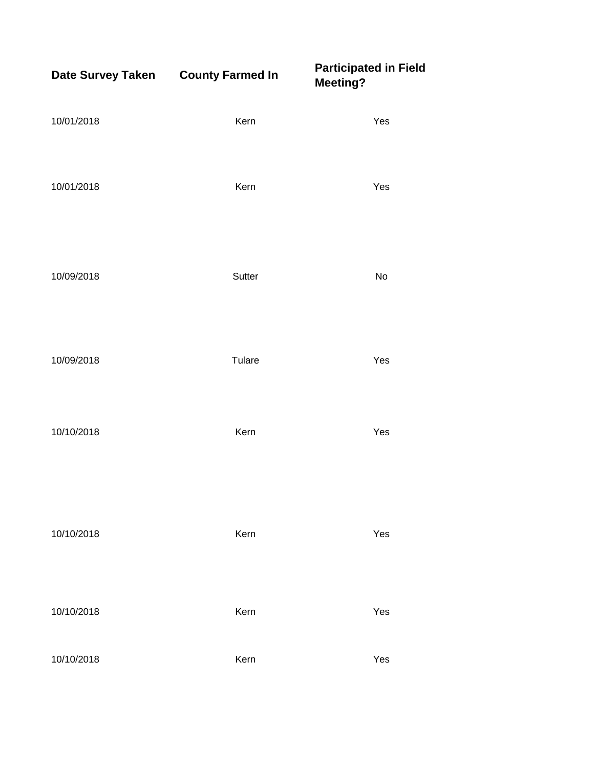| Date Survey Taken County Farmed In |        | <b>Participated in Field</b><br><b>Meeting?</b> |
|------------------------------------|--------|-------------------------------------------------|
| 10/01/2018                         | Kern   | Yes                                             |
| 10/01/2018                         | Kern   | Yes                                             |
| 10/09/2018                         | Sutter | No                                              |
| 10/09/2018                         | Tulare | Yes                                             |
| 10/10/2018                         | Kern   | Yes                                             |
| 10/10/2018                         | Kern   | Yes                                             |
| 10/10/2018                         | Kern   | Yes                                             |
| 10/10/2018                         | Kern   | Yes                                             |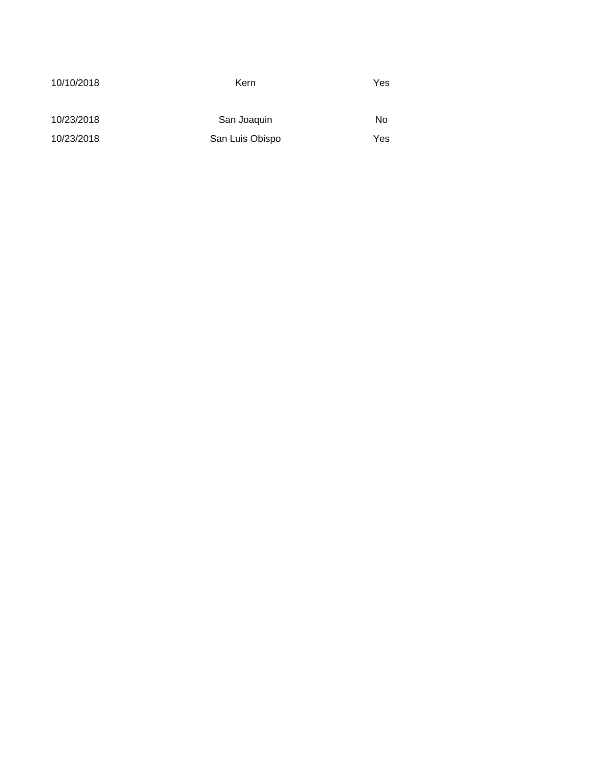| 10/10/2018 | Kern            | Yes |
|------------|-----------------|-----|
|            |                 |     |
|            |                 |     |
|            |                 |     |
| 10/23/2018 | San Joaquin     | No  |
|            |                 |     |
| 10/23/2018 | San Luis Obispo | Yes |
|            |                 |     |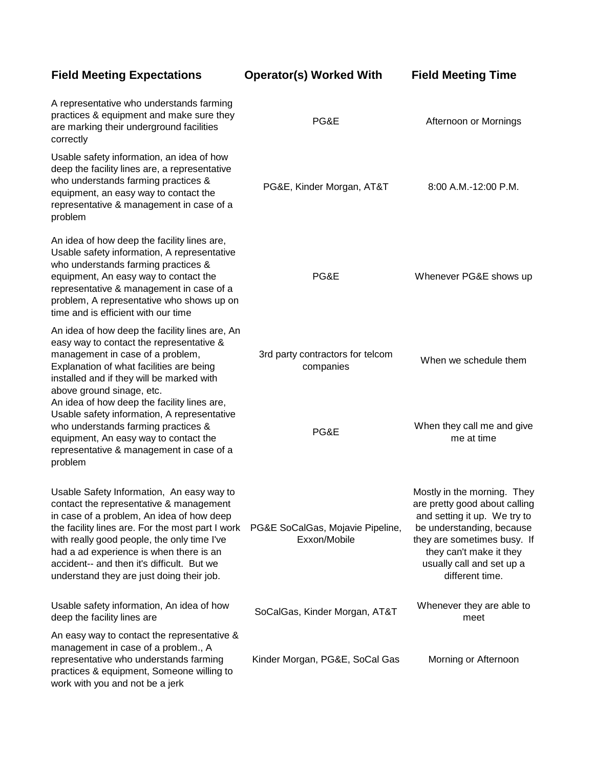A representative who understands farming practices & equipment and make sure they

### **Field Meeting Expectations Operator(s) Worked With Field Meeting Time**

PG&E Afternoon or Mornings

| are marking their underground facilities<br>correctly                                                                                                                                                                                                                                                                                                                      | PG&E                                             | Afternoon or Mornings                                                                                                                                                                                                               |
|----------------------------------------------------------------------------------------------------------------------------------------------------------------------------------------------------------------------------------------------------------------------------------------------------------------------------------------------------------------------------|--------------------------------------------------|-------------------------------------------------------------------------------------------------------------------------------------------------------------------------------------------------------------------------------------|
| Usable safety information, an idea of how<br>deep the facility lines are, a representative<br>who understands farming practices &<br>equipment, an easy way to contact the<br>representative & management in case of a<br>problem                                                                                                                                          | PG&E, Kinder Morgan, AT&T                        | 8:00 A.M.-12:00 P.M.                                                                                                                                                                                                                |
| An idea of how deep the facility lines are,<br>Usable safety information, A representative<br>who understands farming practices &<br>equipment, An easy way to contact the<br>representative & management in case of a<br>problem, A representative who shows up on<br>time and is efficient with our time                                                                 | PG&E                                             | Whenever PG&E shows up                                                                                                                                                                                                              |
| An idea of how deep the facility lines are, An<br>easy way to contact the representative &<br>management in case of a problem,<br>Explanation of what facilities are being<br>installed and if they will be marked with<br>above ground sinage, etc.<br>An idea of how deep the facility lines are,                                                                        | 3rd party contractors for telcom<br>companies    | When we schedule them                                                                                                                                                                                                               |
| Usable safety information, A representative<br>who understands farming practices &<br>equipment, An easy way to contact the<br>representative & management in case of a<br>problem                                                                                                                                                                                         | PG&E                                             | When they call me and give<br>me at time                                                                                                                                                                                            |
| Usable Safety Information, An easy way to<br>contact the representative & management<br>in case of a problem, An idea of how deep<br>the facility lines are. For the most part I work<br>with really good people, the only time I've<br>had a ad experience is when there is an<br>accident-- and then it's difficult. But we<br>understand they are just doing their job. | PG&E SoCalGas, Mojavie Pipeline,<br>Exxon/Mobile | Mostly in the morning. They<br>are pretty good about calling<br>and setting it up. We try to<br>be understanding, because<br>they are sometimes busy. If<br>they can't make it they<br>usually call and set up a<br>different time. |
| Usable safety information, An idea of how<br>deep the facility lines are                                                                                                                                                                                                                                                                                                   | SoCalGas, Kinder Morgan, AT&T                    | Whenever they are able to<br>meet                                                                                                                                                                                                   |
| An easy way to contact the representative &<br>management in case of a problem., A<br>representative who understands farming<br>practices & equipment, Someone willing to<br>work with you and not be a jerk                                                                                                                                                               | Kinder Morgan, PG&E, SoCal Gas                   | Morning or Afternoon                                                                                                                                                                                                                |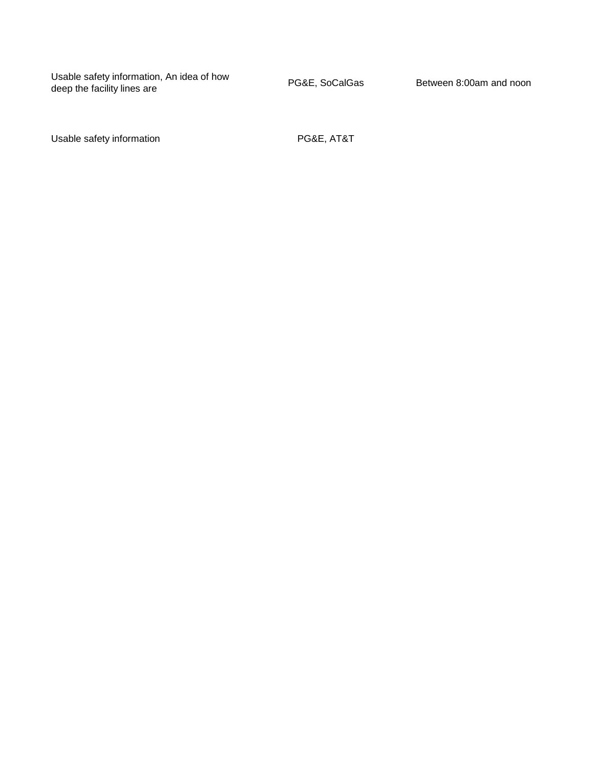Usable safety information, An idea of how Usable safety information, An idea of how<br>deep the facility lines are deep the facility lines are

Usable safety information example and the PG&E, AT&T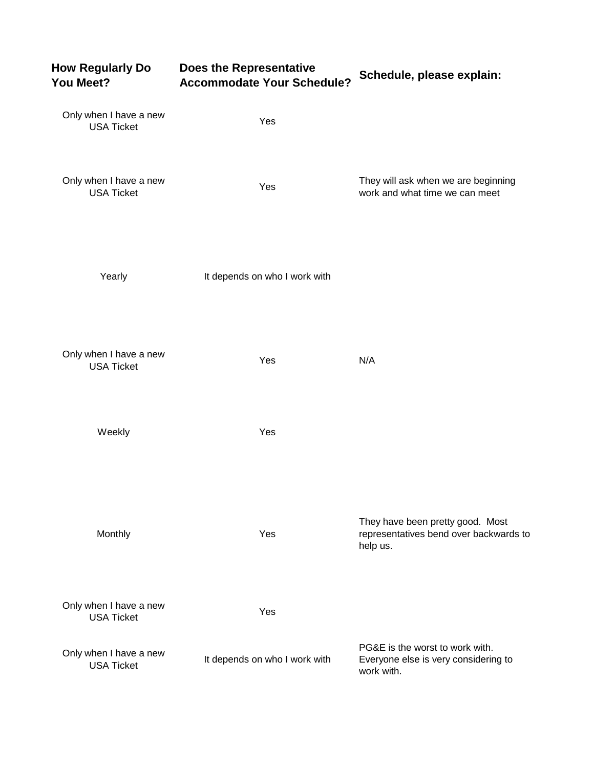| <b>How Regularly Do</b><br>You Meet?        | Does the Representative<br><b>Accommodate Your Schedule?</b> | Schedule, please explain:                                                              |
|---------------------------------------------|--------------------------------------------------------------|----------------------------------------------------------------------------------------|
| Only when I have a new<br><b>USA Ticket</b> | Yes                                                          |                                                                                        |
| Only when I have a new<br><b>USA Ticket</b> | Yes                                                          | They will ask when we are beginning<br>work and what time we can meet                  |
| Yearly                                      | It depends on who I work with                                |                                                                                        |
| Only when I have a new<br><b>USA Ticket</b> | Yes                                                          | N/A                                                                                    |
| Weekly                                      | Yes                                                          |                                                                                        |
| Monthly                                     | Yes                                                          | They have been pretty good. Most<br>representatives bend over backwards to<br>help us. |
| Only when I have a new<br><b>USA Ticket</b> | Yes                                                          |                                                                                        |
| Only when I have a new<br><b>USA Ticket</b> | It depends on who I work with                                | PG&E is the worst to work with.<br>Everyone else is very considering to<br>work with.  |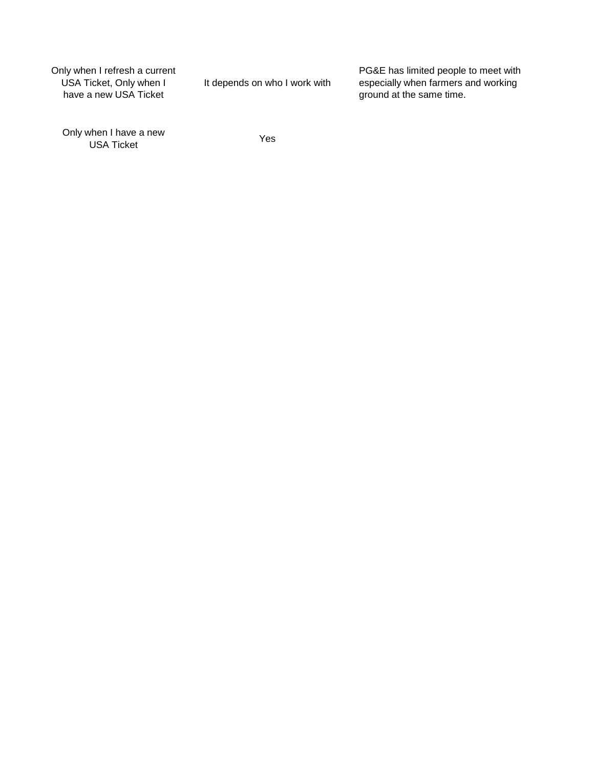Only when I refresh a current USA Ticket, Only when I have a new USA Ticket

It depends on who I work with

PG&E has limited people to meet with especially when farmers and working ground at the same time.

Only when I have a new when I have a new<br>USA Ticket Yes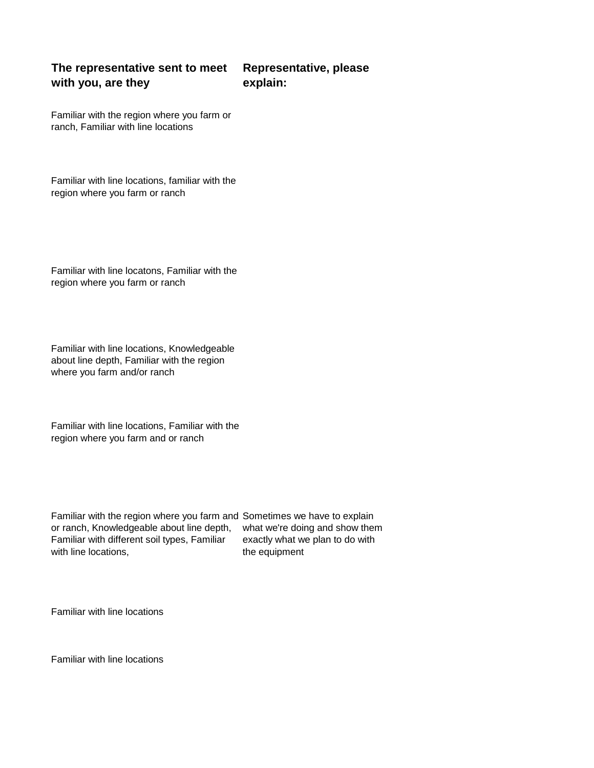### **The representative sent to meet with you, are they Representative, please explain:**

Familiar with the region where you farm or ranch, Familiar with line locations

Familiar with line locations, familiar with the region where you farm or ranch

Familiar with line locatons, Familiar with the region where you farm or ranch

Familiar with line locations, Knowledgeable about line depth, Familiar with the region where you farm and/or ranch

Familiar with line locations, Familiar with the region where you farm and or ranch

Familiar with the region where you farm and Sometimes we have to explain or ranch, Knowledgeable about line depth, Familiar with different soil types, Familiar with line locations, the equipment

what we're doing and show them exactly what we plan to do with

Familiar with line locations

Familiar with line locations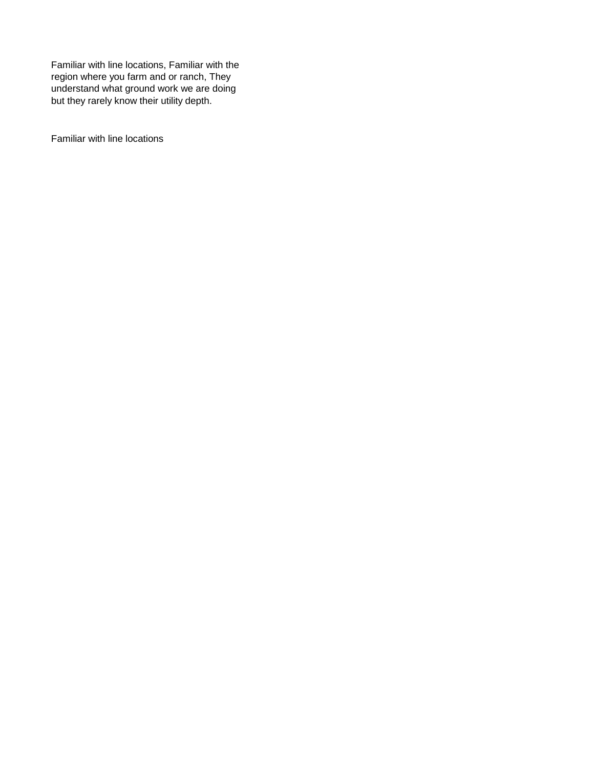Familiar with line locations, Familiar with the region where you farm and or ranch, They understand what ground work we are doing but they rarely know their utility depth.

Familiar with line locations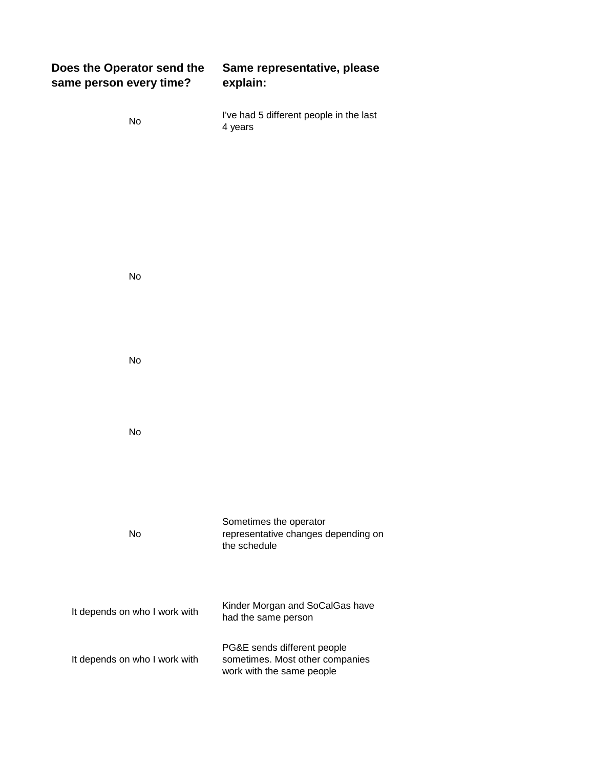| Does the Operator send the<br>same person every time? | Same representative, please<br>explain:                                                     |
|-------------------------------------------------------|---------------------------------------------------------------------------------------------|
| No                                                    | I've had 5 different people in the last<br>4 years                                          |
|                                                       |                                                                                             |
|                                                       |                                                                                             |
|                                                       |                                                                                             |
| No                                                    |                                                                                             |
|                                                       |                                                                                             |
| No                                                    |                                                                                             |
| No                                                    |                                                                                             |
|                                                       |                                                                                             |
|                                                       | Sometimes the operator                                                                      |
| No                                                    | representative changes depending on<br>the schedule                                         |
|                                                       | Kinder Morgan and SoCalGas have                                                             |
| It depends on who I work with                         | had the same person                                                                         |
| It depends on who I work with                         | PG&E sends different people<br>sometimes. Most other companies<br>work with the same people |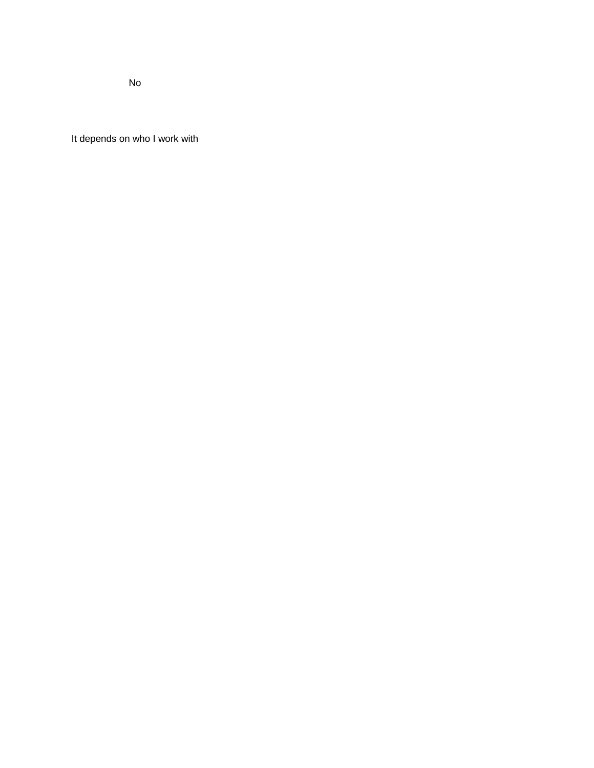No

It depends on who I work with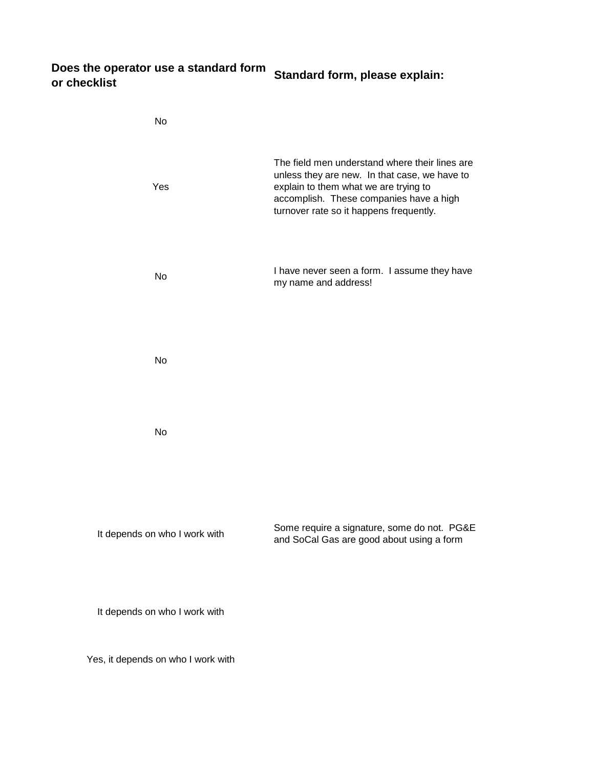## **Does the operator use a standard form or checklist Standard form, please explain:**

| No                            |                                                                                                                                                                                                                                |
|-------------------------------|--------------------------------------------------------------------------------------------------------------------------------------------------------------------------------------------------------------------------------|
| Yes                           | The field men understand where their lines are<br>unless they are new. In that case, we have to<br>explain to them what we are trying to<br>accomplish. These companies have a high<br>turnover rate so it happens frequently. |
| <b>No</b>                     | I have never seen a form. I assume they have<br>my name and address!                                                                                                                                                           |
| <b>No</b>                     |                                                                                                                                                                                                                                |
| <b>No</b>                     |                                                                                                                                                                                                                                |
| It depends on who I work with | Some require a signature, some do not. PG&E<br>and SoCal Gas are good about using a form                                                                                                                                       |
| It depends on who I work with |                                                                                                                                                                                                                                |

Yes, it depends on who I work with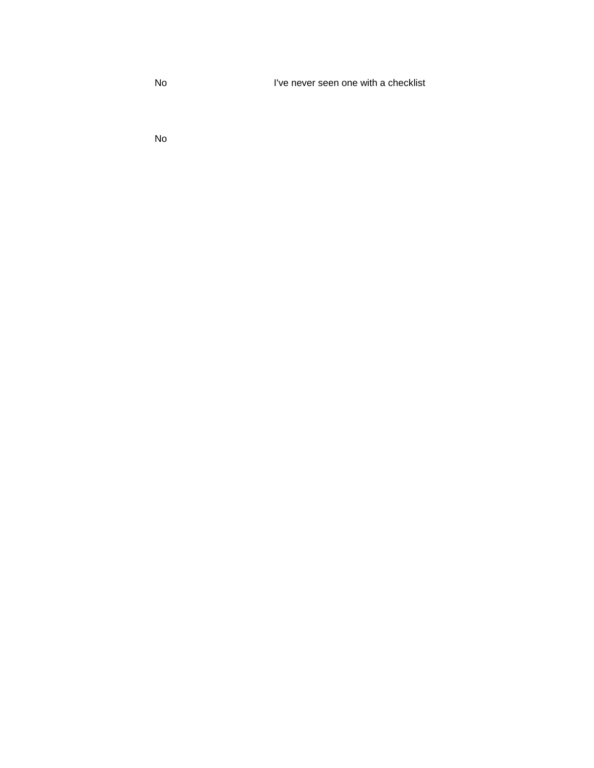No I've never seen one with a checklist

No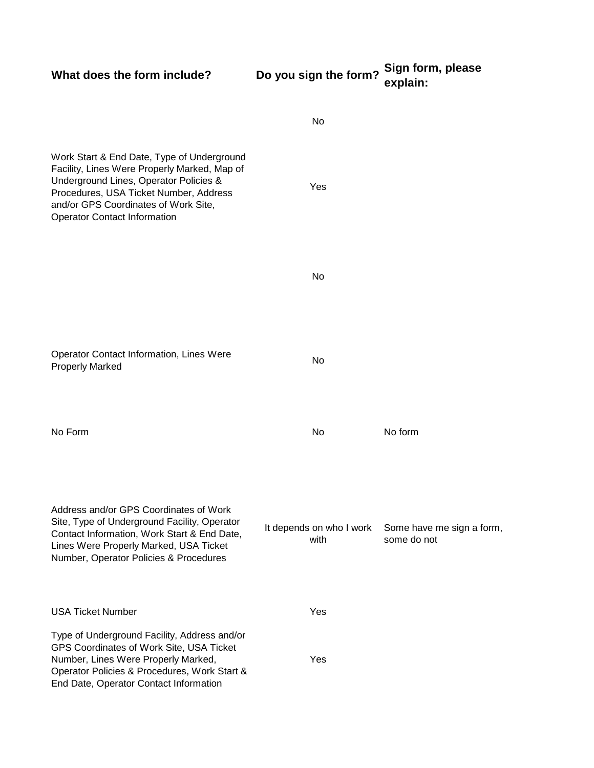| What does the form include?                                                                                                                                                                                                                                   | Do you sign the form?            | Sign form, please<br>explain:            |
|---------------------------------------------------------------------------------------------------------------------------------------------------------------------------------------------------------------------------------------------------------------|----------------------------------|------------------------------------------|
|                                                                                                                                                                                                                                                               | No                               |                                          |
| Work Start & End Date, Type of Underground<br>Facility, Lines Were Properly Marked, Map of<br>Underground Lines, Operator Policies &<br>Procedures, USA Ticket Number, Address<br>and/or GPS Coordinates of Work Site,<br><b>Operator Contact Information</b> | Yes                              |                                          |
|                                                                                                                                                                                                                                                               | No                               |                                          |
| <b>Operator Contact Information, Lines Were</b><br><b>Properly Marked</b>                                                                                                                                                                                     | No                               |                                          |
| No Form                                                                                                                                                                                                                                                       | No                               | No form                                  |
| Address and/or GPS Coordinates of Work<br>Site, Type of Underground Facility, Operator<br>Contact Information, Work Start & End Date,<br>Lines Were Properly Marked, USA Ticket<br>Number, Operator Policies & Procedures                                     | It depends on who I work<br>with | Some have me sign a form,<br>some do not |
| <b>USA Ticket Number</b>                                                                                                                                                                                                                                      | Yes                              |                                          |
| Type of Underground Facility, Address and/or<br>GPS Coordinates of Work Site, USA Ticket<br>Number, Lines Were Properly Marked,<br>Operator Policies & Procedures, Work Start &<br>End Date, Operator Contact Information                                     | Yes                              |                                          |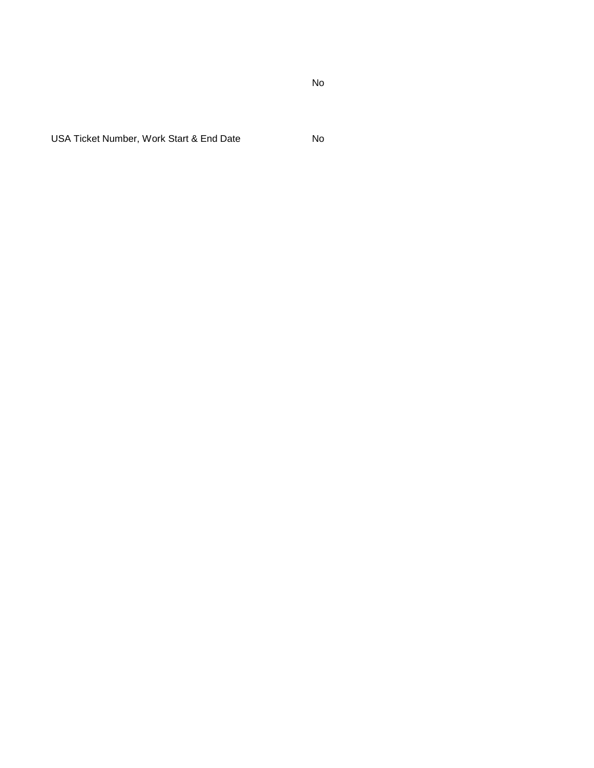USA Ticket Number, Work Start & End Date No

No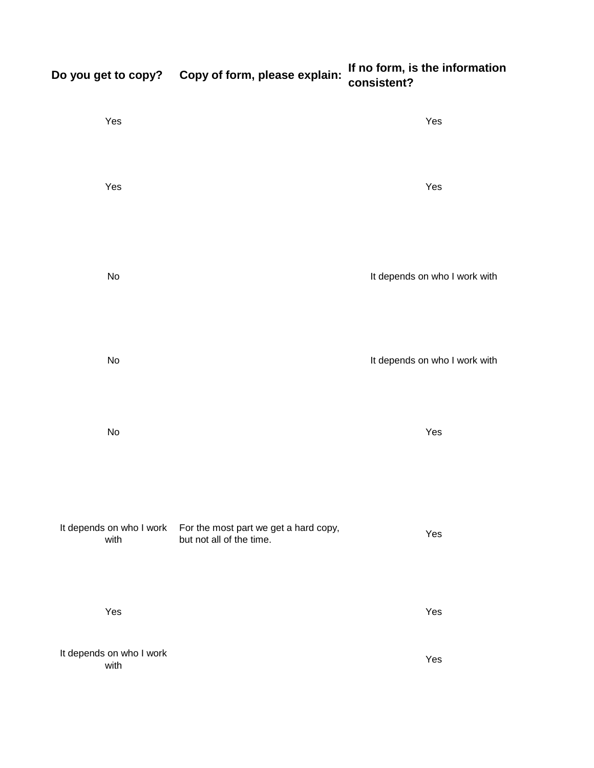| Yes                              |                                                                   | Yes                           |
|----------------------------------|-------------------------------------------------------------------|-------------------------------|
| Yes                              |                                                                   | Yes                           |
| $\operatorname{\mathsf{No}}$     |                                                                   | It depends on who I work with |
| $\operatorname{\mathsf{No}}$     |                                                                   | It depends on who I work with |
| $\operatorname{\mathsf{No}}$     |                                                                   | Yes                           |
| It depends on who I work<br>with | For the most part we get a hard copy,<br>but not all of the time. | Yes                           |
| Yes                              |                                                                   | Yes                           |
| It depends on who I work<br>with |                                                                   | Yes                           |

# **Do you get to copy? Copy of form, please explain: If no form, is the information consistent?**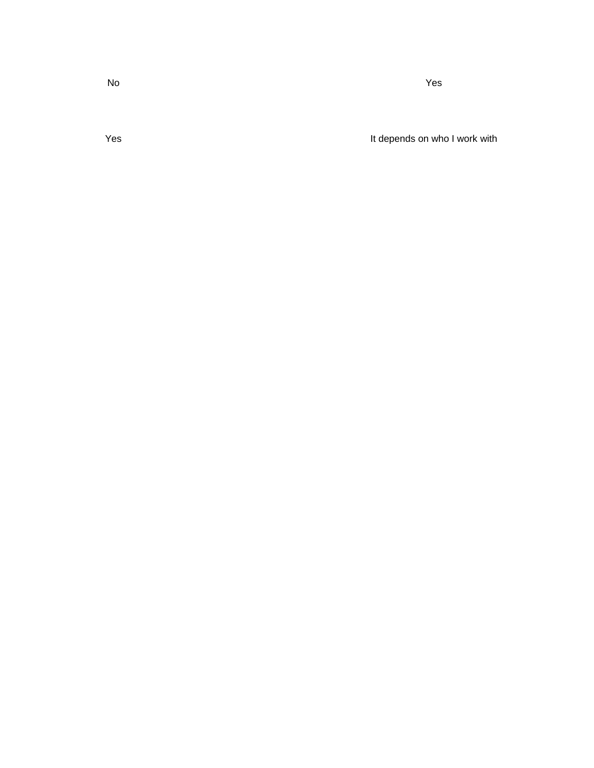Yes **It depends on who I work with**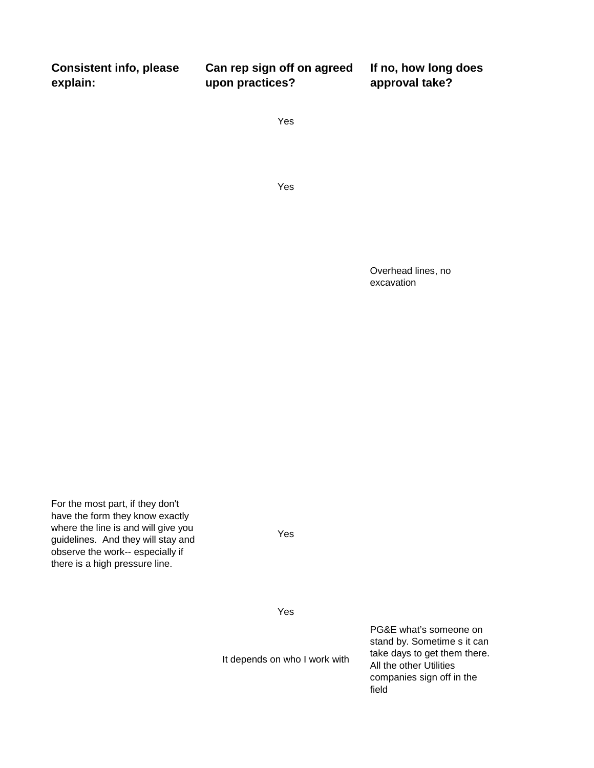| <b>Consistent info, please</b> | Can rep sign off on agreed | If no, how long does |
|--------------------------------|----------------------------|----------------------|
| explain:                       | upon practices?            | approval take?       |

Yes

Yes

Overhead lines, no excavation

For the most part, if they don't have the form they know exactly where the line is and will give you guidelines. And they will stay and observe the work-- especially if there is a high pressure line.

Yes

Yes

It depends on who I work with

PG&E what's someone on stand by. Sometime s it can take days to get them there. All the other Utilities companies sign off in the field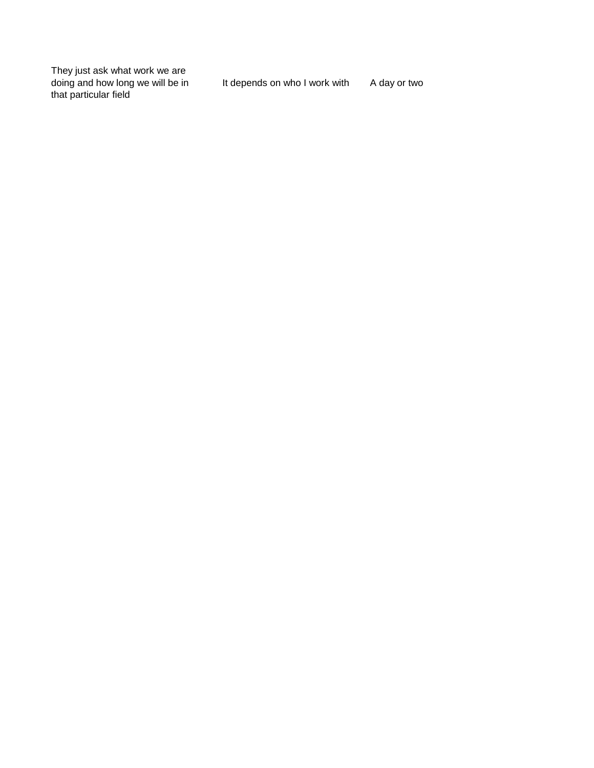They just ask what work we are doing and how long we will be in that particular field

It depends on who I work with A day or two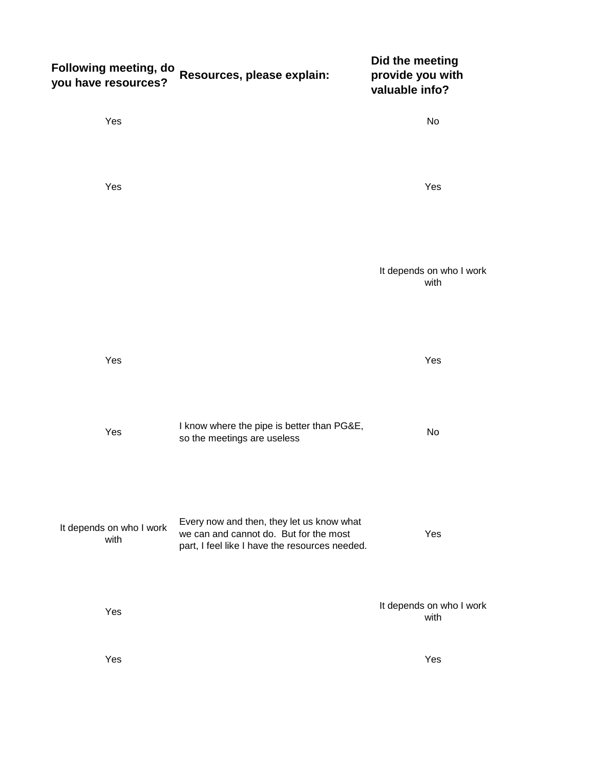| Following meeting, do<br>you have resources? | Resources, please explain:                                                                                                            | Did the meeting<br>provide you with<br>valuable info? |
|----------------------------------------------|---------------------------------------------------------------------------------------------------------------------------------------|-------------------------------------------------------|
| Yes                                          |                                                                                                                                       | No                                                    |
| Yes                                          |                                                                                                                                       | Yes                                                   |
|                                              |                                                                                                                                       | It depends on who I work<br>with                      |
| Yes                                          |                                                                                                                                       | Yes                                                   |
| Yes                                          | I know where the pipe is better than PG&E,<br>so the meetings are useless                                                             | No                                                    |
| It depends on who I work<br>with             | Every now and then, they let us know what<br>we can and cannot do. But for the most<br>part, I feel like I have the resources needed. | Yes                                                   |
| Yes                                          |                                                                                                                                       | It depends on who I work<br>with                      |
| Yes                                          |                                                                                                                                       | Yes                                                   |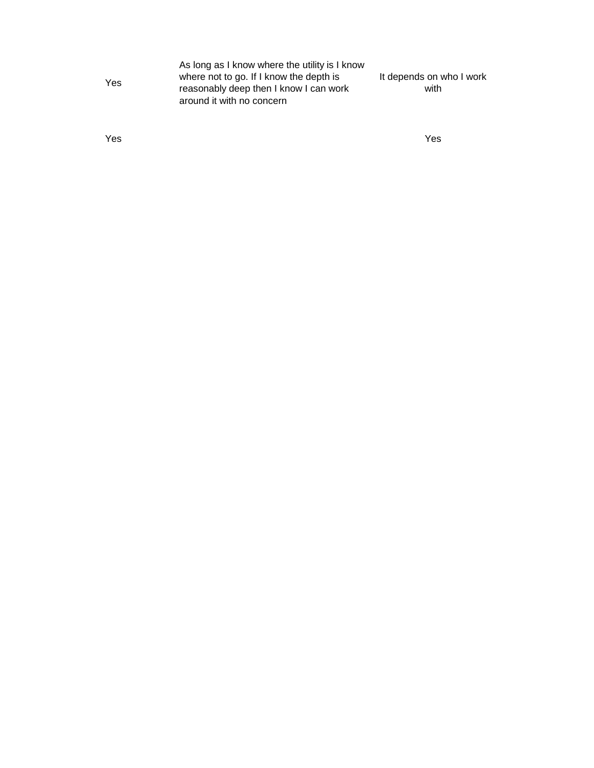| As long as I know where the utility is I know |                          |
|-----------------------------------------------|--------------------------|
| where not to go. If I know the depth is       | It depends on who I work |
| reasonably deep then I know I can work        | with                     |
| around it with no concern                     |                          |
|                                               |                          |

Yes Yes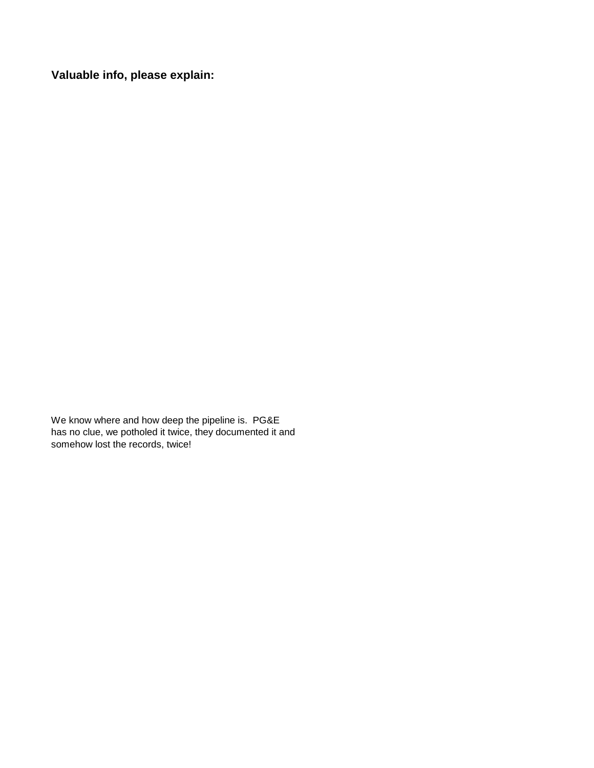**Valuable info, please explain:**

We know where and how deep the pipeline is. PG&E has no clue, we potholed it twice, they documented it and somehow lost the records, twice!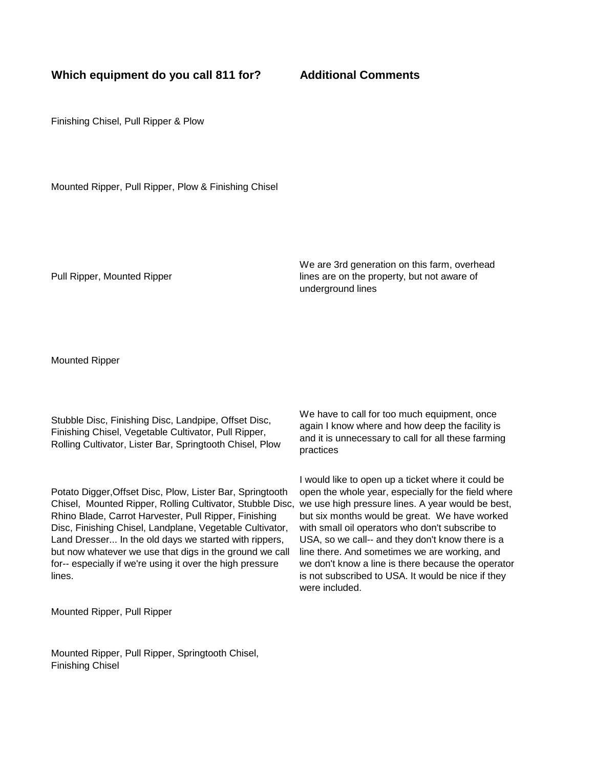### **Which equipment do you call 811 for? Additional Comments**

Finishing Chisel, Pull Ripper & Plow

Mounted Ripper, Pull Ripper, Plow & Finishing Chisel

Pull Ripper, Mounted Ripper

We are 3rd generation on this farm, overhead lines are on the property, but not aware of underground lines

Mounted Ripper

Stubble Disc, Finishing Disc, Landpipe, Offset Disc, Finishing Chisel, Vegetable Cultivator, Pull Ripper, Rolling Cultivator, Lister Bar, Springtooth Chisel, Plow

Potato Digger,Offset Disc, Plow, Lister Bar, Springtooth Chisel, Mounted Ripper, Rolling Cultivator, Stubble Disc, Rhino Blade, Carrot Harvester, Pull Ripper, Finishing Disc, Finishing Chisel, Landplane, Vegetable Cultivator, Land Dresser... In the old days we started with rippers, but now whatever we use that digs in the ground we call for-- especially if we're using it over the high pressure lines.

Mounted Ripper, Pull Ripper

We have to call for too much equipment, once again I know where and how deep the facility is and it is unnecessary to call for all these farming practices

I would like to open up a ticket where it could be open the whole year, especially for the field where we use high pressure lines. A year would be best, but six months would be great. We have worked with small oil operators who don't subscribe to USA, so we call-- and they don't know there is a line there. And sometimes we are working, and we don't know a line is there because the operator is not subscribed to USA. It would be nice if they were included.

Mounted Ripper, Pull Ripper, Springtooth Chisel, Finishing Chisel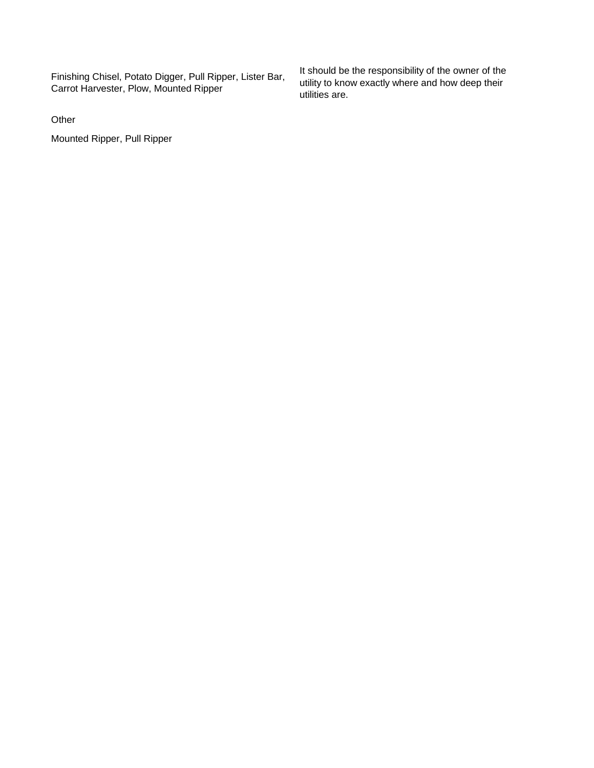Finishing Chisel, Potato Digger, Pull Ripper, Lister Bar, Carrot Harvester, Plow, Mounted Ripper

**Other** 

Mounted Ripper, Pull Ripper

It should be the responsibility of the owner of the utility to know exactly where and how deep their utilities are.